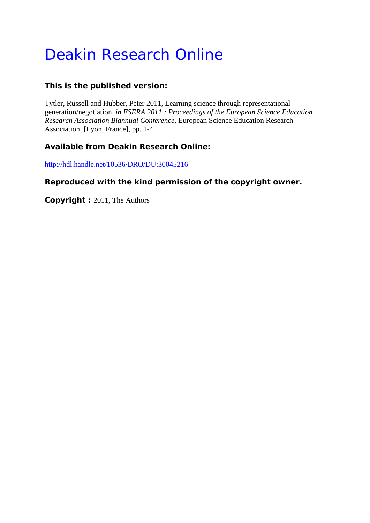# Deakin Research Online

## **This is the published version:**

Tytler, Russell and Hubber, Peter 2011, Learning science through representational generation/negotiation*, in ESERA 2011 : Proceedings of the European Science Education Research Association Biannual Conference*, European Science Education Research Association, [Lyon, France], pp. 1-4.

## **Available from Deakin Research Online:**

http://hdl.handle.net/10536/DRO/DU:30045216

## **Reproduced with the kind permission of the copyright owner.**

**Copyright :** 2011, The Authors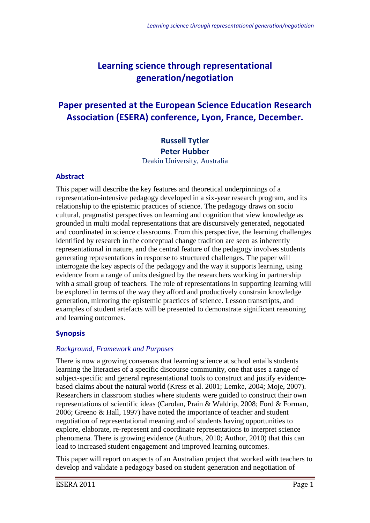# **Learning science through representational generation/negotiation**

# **Paper presented at the European Science Education Research Association (ESERA) conference, Lyon, France, December.**

## **Russell Tytler Peter Hubber**

Deakin University, Australia

#### **Abstract**

This paper will describe the key features and theoretical underpinnings of a representation-intensive pedagogy developed in a six-year research program, and its relationship to the epistemic practices of science. The pedagogy draws on socio cultural, pragmatist perspectives on learning and cognition that view knowledge as grounded in multi modal representations that are discursively generated, negotiated and coordinated in science classrooms. From this perspective, the learning challenges identified by research in the conceptual change tradition are seen as inherently representational in nature, and the central feature of the pedagogy involves students generating representations in response to structured challenges. The paper will interrogate the key aspects of the pedagogy and the way it supports learning, using evidence from a range of units designed by the researchers working in partnership with a small group of teachers. The role of representations in supporting learning will be explored in terms of the way they afford and productively constrain knowledge generation, mirroring the epistemic practices of science. Lesson transcripts, and examples of student artefacts will be presented to demonstrate significant reasoning and learning outcomes.

#### **Synopsis**

#### *Background, Framework and Purposes*

There is now a growing consensus that learning science at school entails students learning the literacies of a specific discourse community, one that uses a range of subject-specific and general representational tools to construct and justify evidencebased claims about the natural world (Kress et al. 2001; Lemke, 2004; Moje, 2007). Researchers in classroom studies where students were guided to construct their own representations of scientific ideas (Carolan, Prain & Waldrip, 2008; Ford & Forman, 2006; Greeno & Hall, 1997) have noted the importance of teacher and student negotiation of representational meaning and of students having opportunities to explore, elaborate, re-represent and coordinate representations to interpret science phenomena. There is growing evidence (Authors, 2010; Author, 2010) that this can lead to increased student engagement and improved learning outcomes.

This paper will report on aspects of an Australian project that worked with teachers to develop and validate a pedagogy based on student generation and negotiation of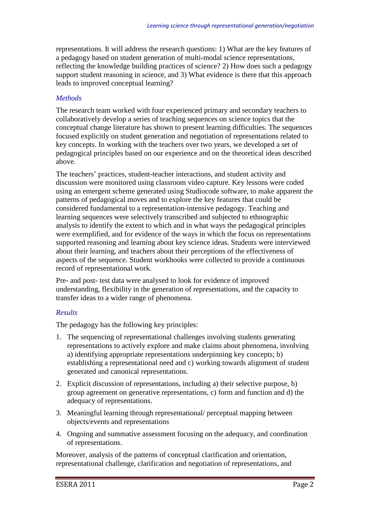representations. It will address the research questions: 1) What are the key features of a pedagogy based on student generation of multi-modal science representations, reflecting the knowledge building practices of science? 2) How does such a pedagogy support student reasoning in science, and 3) What evidence is there that this approach leads to improved conceptual learning?

#### *Methods*

The research team worked with four experienced primary and secondary teachers to collaboratively develop a series of teaching sequences on science topics that the conceptual change literature has shown to present learning difficulties. The sequences focused explicitly on student generation and negotiation of representations related to key concepts. In working with the teachers over two years, we developed a set of pedagogical principles based on our experience and on the theoretical ideas described above.

The teachers' practices, student-teacher interactions, and student activity and discussion were monitored using classroom video capture. Key lessons were coded using an emergent scheme generated using Studiocode software, to make apparent the patterns of pedagogical moves and to explore the key features that could be considered fundamental to a representation-intensive pedagogy. Teaching and learning sequences were selectively transcribed and subjected to ethnographic analysis to identify the extent to which and in what ways the pedagogical principles were exemplified, and for evidence of the ways in which the focus on representations supported reasoning and learning about key science ideas. Students were interviewed about their learning, and teachers about their perceptions of the effectiveness of aspects of the sequence. Student workbooks were collected to provide a continuous record of representational work.

Pre- and post- test data were analysed to look for evidence of improved understanding, flexibility in the generation of representations, and the capacity to transfer ideas to a wider range of phenomena.

#### *Results*

The pedagogy has the following key principles:

- 1. The sequencing of representational challenges involving students generating representations to actively explore and make claims about phenomena, involving a) identifying appropriate representations underpinning key concepts; b) establishing a representational need and c) working towards alignment of student generated and canonical representations.
- 2. Explicit discussion of representations, including a) their selective purpose, b) group agreement on generative representations, c) form and function and d) the adequacy of representations.
- 3. Meaningful learning through representational/ perceptual mapping between objects/events and representations
- 4. Ongoing and summative assessment focusing on the adequacy, and coordination of representations.

Moreover, analysis of the patterns of conceptual clarification and orientation, representational challenge, clarification and negotiation of representations, and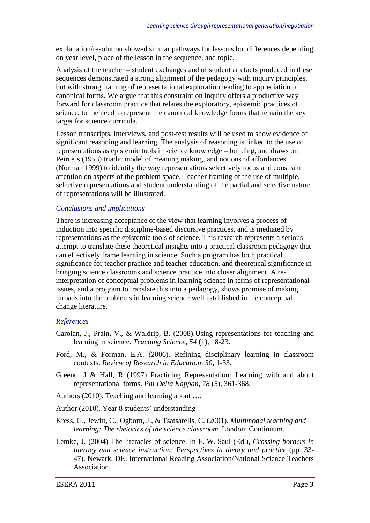explanation/resolution showed similar pathways for lessons but differences depending on year level, place of the lesson in the sequence, and topic.

Analysis of the teacher – student exchanges and of student artefacts produced in these sequences demonstrated a strong alignment of the pedagogy with inquiry principles, but with strong framing of representational exploration leading to appreciation of canonical forms. We argue that this constraint on inquiry offers a productive way forward for classroom practice that relates the exploratory, epistemic practices of science, to the need to represent the canonical knowledge forms that remain the key target for science curricula.

Lesson transcripts, interviews, and post-test results will be used to show evidence of significant reasoning and learning. The analysis of reasoning is linked to the use of representations as epistemic tools in science knowledge – building, and draws on Peirce's (1953) triadic model of meaning making, and notions of affordances (Norman 1999) to identify the way representations selectively focus and constrain attention on aspects of the problem space. Teacher framing of the use of multiple, selective representations and student understanding of the partial and selective nature of representations will be illustrated.

#### *Conclusions and implications*

There is increasing acceptance of the view that learning involves a process of induction into specific discipline-based discursive practices, and is mediated by representations as the epistemic tools of science. This research represents a serious attempt to translate these theoretical insights into a practical classroom pedagogy that can effectively frame learning in science. Such a program has both practical significance for teacher practice and teacher education, and theoretical significance in bringing science classrooms and science practice into closer alignment. A reinterpretation of conceptual problems in learning science in terms of representational issues, and a program to translate this into a pedagogy, shows promise of making inroads into the problems in learning science well established in the conceptual change literature.

#### *References*

- Carolan, J., Prain, V., & Waldrip, B. (2008).Using representations for teaching and learning in science. *Teaching Science, 54* (1), 18-23.
- Ford, M., & Forman, E.A. (2006). Refining disciplinary learning in classroom contexts. *Review of Research in Education, 30*, 1-33.
- Greeno, J & Hall, R (1997) Practicing Representation: Learning with and about representational forms. *Phi Delta Kappan, 78* (5), 361-368.
- Authors (2010). Teaching and learning about ….
- Author (2010). Year 8 students' understanding
- Kress, G., Jewitt, C., Ogborn, J., & Tsatsarelis, C. (2001). *Multimodal teaching and learning: The rhetorics of the science classroom*. London: Continuum.
- Lemke, J. (2004) The literacies of science. In E. W. Saul (Ed.), *Crossing borders in literacy and science instruction: Perspectives in theory and practice* (pp. 33- 47). Newark, DE: International Reading Association/National Science Teachers Association.